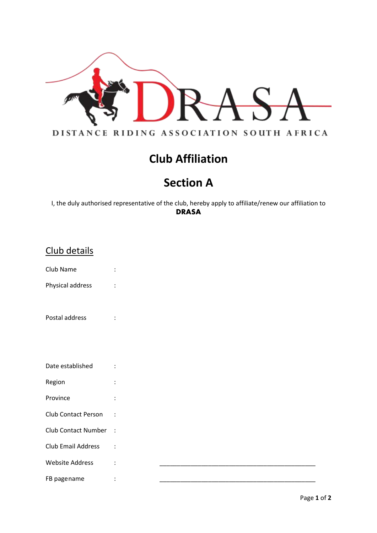

# **Club Affiliation**

## **Section A**

I, the duly authorised representative of the club, hereby apply to affiliate/renew our affiliation to **DRASA**

| Club details               |                |  |  |
|----------------------------|----------------|--|--|
| Club Name                  | $\ddot{\cdot}$ |  |  |
| Physical address           | $\ddot{\cdot}$ |  |  |
|                            |                |  |  |
| Postal address             | $\ddot{\cdot}$ |  |  |
|                            |                |  |  |
|                            |                |  |  |
| Date established           | $\ddot{\cdot}$ |  |  |
| Region                     | $\ddot{\cdot}$ |  |  |
| Province                   | $\ddot{\cdot}$ |  |  |
| Club Contact Person        | $\ddot{\cdot}$ |  |  |
| <b>Club Contact Number</b> | $\sim$ :       |  |  |
| <b>Club Email Address</b>  | $\ddot{\cdot}$ |  |  |
| <b>Website Address</b>     | $\ddot{\cdot}$ |  |  |
| FB pagename                | $\ddot{\cdot}$ |  |  |